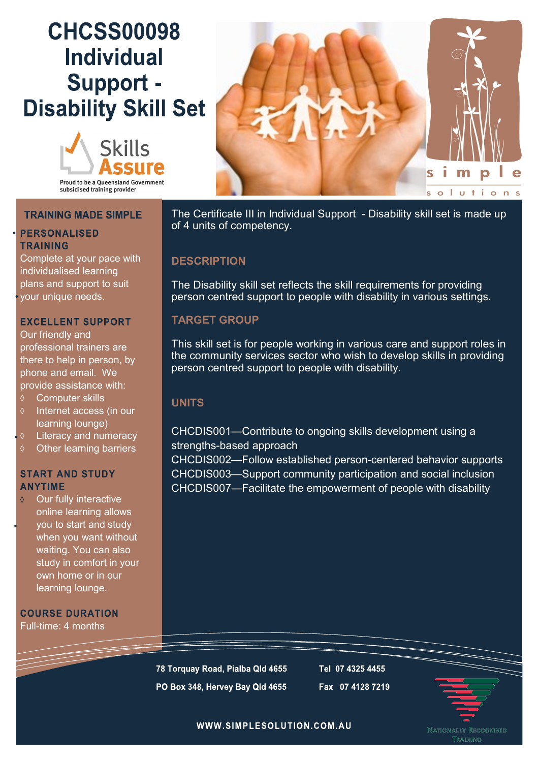# **CHCSS00098 Individual** Support -**Disability Skill Set**





## **TRAINING MADE SIMPLE**

### **PERSONALISED TRAINING**

Complete at your pace with individualised learning plans and support to suit your unique needs.

### **EXCELLENT SUPPORT**

Our friendly and professional trainers are there to help in person, by phone and email. We provide assistance with:

- Computer skills
- Internet access (in our learning lounge)
- Literacy and numeracy
- Other learning barriers

#### **START AND STUDY ANYTIME**

Our fully interactive online learning allows you to start and study when you want without waiting. You can also study in comfort in your own home or in our learning lounge.

**COURSE DURATION** Full-time: 4 months

The Certificate III in Individual Support - Disability skill set is made up of 4 units of competency.

## **DESCRIPTION**

The Disability skill set reflects the skill requirements for providing person centred support to people with disability in various settings.

## **TARGET GROUP**

This skill set is for people working in various care and support roles in the community services sector who wish to develop skills in providing person centred support to people with disability.

## **UNITS**

# CHCDIS001—Contribute to ongoing skills development using a strengths-based approach

CHCDIS002—Follow established person-centered behavior supports CHCDIS003—Support community participation and social inclusion CHCDIS007—Facilitate the empowerment of people with disability

78 Torquay Road, Pialba Qld 4655 PO Box 348, Hervey Bay Qld 4655

Tel 07 4325 4455 Fax 07 4128 7219



WWW.SIMPLESOLUTION.COM.AU